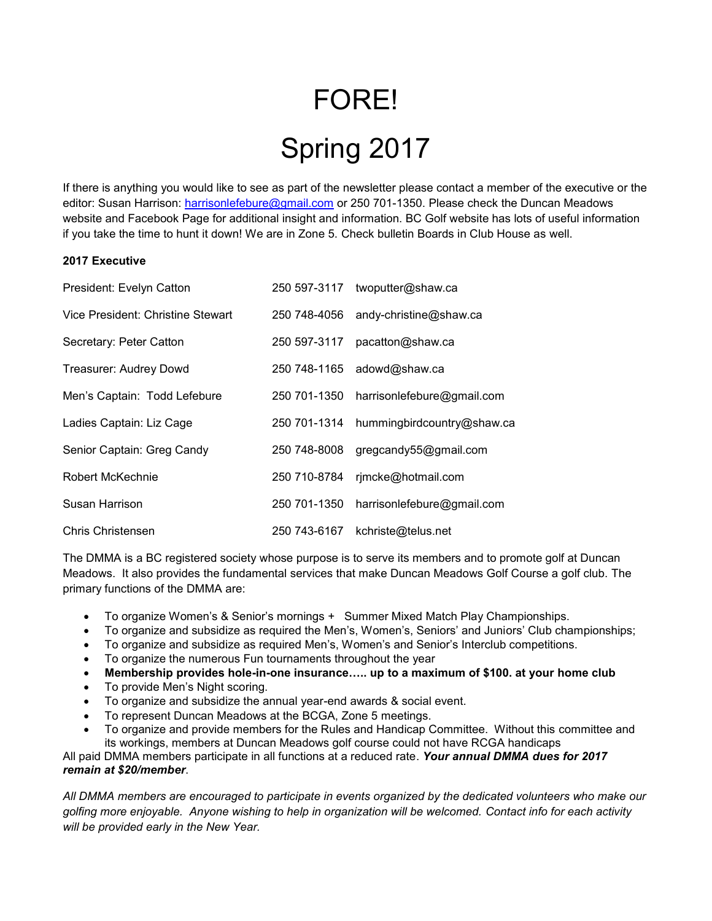## FORE! Spring 2017

If there is anything you would like to see as part of the newsletter please contact a member of the executive or the editor: Susan Harrison: [harrisonlefebure@gmail.com](mailto:harrisonlefebure@gmail.com) or 250 701-1350. Please check the Duncan Meadows website and Facebook Page for additional insight and information. BC Golf website has lots of useful information if you take the time to hunt it down! We are in Zone 5. Check bulletin Boards in Club House as well.

## **2017 Executive**

| President: Evelyn Catton          | 250 597-3117 | twoputter@shaw.ca          |
|-----------------------------------|--------------|----------------------------|
| Vice President: Christine Stewart | 250 748-4056 | andy-christine@shaw.ca     |
| Secretary: Peter Catton           | 250 597-3117 | pacatton@shaw.ca           |
| Treasurer: Audrey Dowd            | 250 748-1165 | adowd@shaw.ca              |
| Men's Captain: Todd Lefebure      | 250 701-1350 | harrisonlefebure@gmail.com |
| Ladies Captain: Liz Cage          | 250 701-1314 | hummingbirdcountry@shaw.ca |
| Senior Captain: Greg Candy        | 250 748-8008 | gregcandy55@gmail.com      |
| Robert McKechnie                  | 250 710-8784 | rjmcke@hotmail.com         |
| Susan Harrison                    | 250 701-1350 | harrisonlefebure@gmail.com |
| Chris Christensen                 | 250 743-6167 | kchriste@telus.net         |

The DMMA is a BC registered society whose purpose is to serve its members and to promote golf at Duncan Meadows. It also provides the fundamental services that make Duncan Meadows Golf Course a golf club. The primary functions of the DMMA are:

- To organize Women's & Senior's mornings + Summer Mixed Match Play Championships.
- To organize and subsidize as required the Men's, Women's, Seniors' and Juniors' Club championships;
- To organize and subsidize as required Men's, Women's and Senior's Interclub competitions.
- To organize the numerous Fun tournaments throughout the year
- **Membership provides hole-in-one insurance….. up to a maximum of \$100. at your home club**
- To provide Men's Night scoring.
- To organize and subsidize the annual year-end awards & social event.
- To represent Duncan Meadows at the BCGA, Zone 5 meetings.
- To organize and provide members for the Rules and Handicap Committee. Without this committee and its workings, members at Duncan Meadows golf course could not have RCGA handicaps

All paid DMMA members participate in all functions at a reduced rate. *Your annual DMMA dues for 2017 remain at \$20/member*.

*All DMMA members are encouraged to participate in events organized by the dedicated volunteers who make our golfing more enjoyable. Anyone wishing to help in organization will be welcomed. Contact info for each activity will be provided early in the New Year.*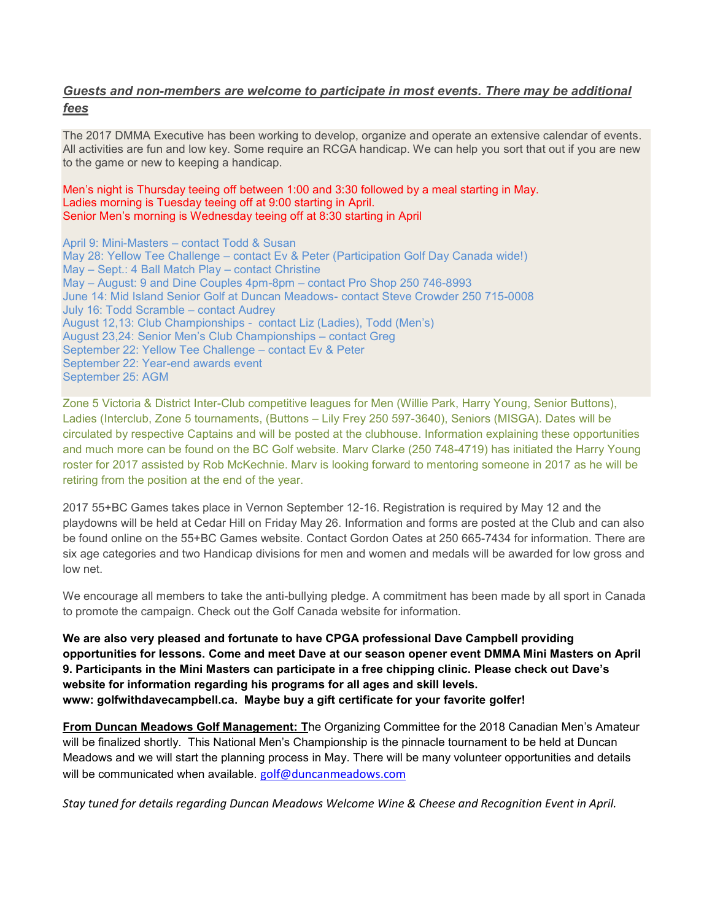## *Guests and non-members are welcome to participate in most events. There may be additional fees*

The 2017 DMMA Executive has been working to develop, organize and operate an extensive calendar of events. All activities are fun and low key. Some require an RCGA handicap. We can help you sort that out if you are new to the game or new to keeping a handicap.

## Men's night is Thursday teeing off between 1:00 and 3:30 followed by a meal starting in May. Ladies morning is Tuesday teeing off at 9:00 starting in April. Senior Men's morning is Wednesday teeing off at 8:30 starting in April

April 9: Mini-Masters – contact Todd & Susan May 28: Yellow Tee Challenge – contact Ev & Peter (Participation Golf Day Canada wide!) May – Sept.: 4 Ball Match Play – contact Christine May – August: 9 and Dine Couples 4pm-8pm – contact Pro Shop 250 746-8993 June 14: Mid Island Senior Golf at Duncan Meadows- contact Steve Crowder 250 715-0008 July 16: Todd Scramble – contact Audrey August 12,13: Club Championships - contact Liz (Ladies), Todd (Men's) August 23,24: Senior Men's Club Championships – contact Greg September 22: Yellow Tee Challenge – contact Ev & Peter September 22: Year-end awards event September 25: AGM

Zone 5 Victoria & District Inter-Club competitive leagues for Men (Willie Park, Harry Young, Senior Buttons), Ladies (Interclub, Zone 5 tournaments, (Buttons – Lily Frey 250 597-3640), Seniors (MISGA). Dates will be circulated by respective Captains and will be posted at the clubhouse. Information explaining these opportunities and much more can be found on the BC Golf website. Marv Clarke (250 748-4719) has initiated the Harry Young roster for 2017 assisted by Rob McKechnie. Marv is looking forward to mentoring someone in 2017 as he will be retiring from the position at the end of the year.

2017 55+BC Games takes place in Vernon September 12-16. Registration is required by May 12 and the playdowns will be held at Cedar Hill on Friday May 26. Information and forms are posted at the Club and can also be found online on the 55+BC Games website. Contact Gordon Oates at 250 665-7434 for information. There are six age categories and two Handicap divisions for men and women and medals will be awarded for low gross and low net.

We encourage all members to take the anti-bullying pledge. A commitment has been made by all sport in Canada to promote the campaign. Check out the Golf Canada website for information.

**We are also very pleased and fortunate to have CPGA professional Dave Campbell providing opportunities for lessons. Come and meet Dave at our season opener event DMMA Mini Masters on April 9. Participants in the Mini Masters can participate in a free chipping clinic. Please check out Dave's website for information regarding his programs for all ages and skill levels. www: golfwithdavecampbell.ca. Maybe buy a gift certificate for your favorite golfer!** 

**From Duncan Meadows Golf Management: T**he Organizing Committee for the 2018 Canadian Men's Amateur will be finalized shortly. This National Men's Championship is the pinnacle tournament to be held at Duncan Meadows and we will start the planning process in May. There will be many volunteer opportunities and details will be communicated when available. golf@duncanmeadows.com

*Stay tuned for details regarding Duncan Meadows Welcome Wine & Cheese and Recognition Event in April.*